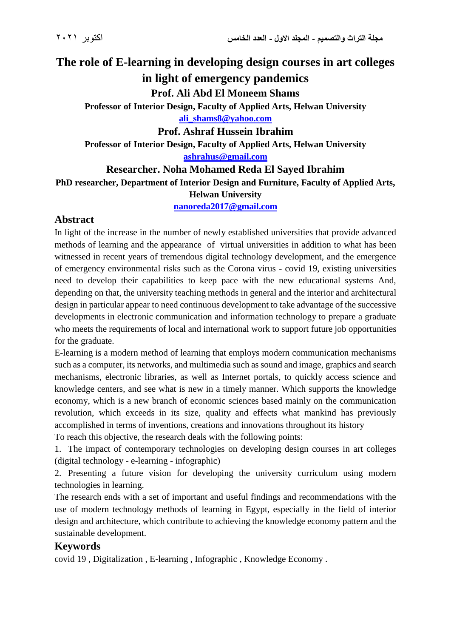# **The role of E-learning in developing design courses in art colleges**

# **in light of emergency pandemics**

**Prof. Ali Abd El Moneem Shams**

**Professor of Interior Design, Faculty of Applied Arts, Helwan University [ali\\_shams8@yahoo.com](mailto:ali_shams8@yahoo.com)**

**Prof. Ashraf Hussein Ibrahim**

**Professor of Interior Design, Faculty of Applied Arts, Helwan University [ashrahus@gmail.com](mailto:ashrahus@gmail.com)**

**Researcher. Noha Mohamed Reda El Sayed Ibrahim**

**PhD researcher, Department of Interior Design and Furniture, Faculty of Applied Arts, Helwan University**

**[nanoreda2017@gmail.com](mailto:nanoreda2017@gmail.com)**

## **Abstract**

In light of the increase in the number of newly established universities that provide advanced methods of learning and the appearance of virtual universities in addition to what has been witnessed in recent years of tremendous digital technology development, and the emergence of emergency environmental risks such as the Corona virus - covid 19, existing universities need to develop their capabilities to keep pace with the new educational systems And, depending on that, the university teaching methods in general and the interior and architectural design in particular appear to need continuous development to take advantage of the successive developments in electronic communication and information technology to prepare a graduate who meets the requirements of local and international work to support future job opportunities for the graduate.

E-learning is a modern method of learning that employs modern communication mechanisms such as a computer, its networks, and multimedia such as sound and image, graphics and search mechanisms, electronic libraries, as well as Internet portals, to quickly access science and knowledge centers, and see what is new in a timely manner. Which supports the knowledge economy, which is a new branch of economic sciences based mainly on the communication revolution, which exceeds in its size, quality and effects what mankind has previously accomplished in terms of inventions, creations and innovations throughout its history

To reach this objective, the research deals with the following points:

1. The impact of contemporary technologies on developing design courses in art colleges (digital technology - e-learning - infographic)

2. Presenting a future vision for developing the university curriculum using modern technologies in learning.

The research ends with a set of important and useful findings and recommendations with the use of modern technology methods of learning in Egypt, especially in the field of interior design and architecture, which contribute to achieving the knowledge economy pattern and the sustainable development.

# **Keywords**

covid 19 , Digitalization , E-learning , Infographic , Knowledge Economy .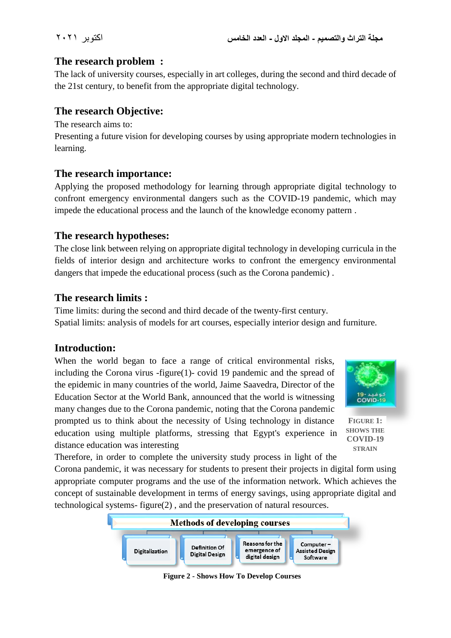# **The research problem :**

The lack of university courses, especially in art colleges, during the second and third decade of the 21st century, to benefit from the appropriate digital technology.

# **The research Objective:**

The research aims to:

Presenting a future vision for developing courses by using appropriate modern technologies in learning.

## **The research importance:**

Applying the proposed methodology for learning through appropriate digital technology to confront emergency environmental dangers such as the COVID-19 pandemic, which may impede the educational process and the launch of the knowledge economy pattern .

### **The research hypotheses:**

The close link between relying on appropriate digital technology in developing curricula in the fields of interior design and architecture works to confront the emergency environmental dangers that impede the educational process (such as the Corona pandemic) .

## **The research limits :**

Time limits: during the second and third decade of the twenty-first century. Spatial limits: analysis of models for art courses, especially interior design and furniture.

## **Introduction:**

When the world began to face a range of critical environmental risks, including the Corona virus -figure(1)- covid 19 pandemic and the spread of the epidemic in many countries of the world, Jaime Saavedra, Director of the Education Sector at the World Bank, announced that the world is witnessing many changes due to the Corona pandemic, noting that the Corona pandemic prompted us to think about the necessity of Using technology in distance education using multiple platforms, stressing that Egypt's experience in distance education was interesting



**FIGURE 1: SHOWS THE COVID-19 STRAIN**

Therefore, in order to complete the university study process in light of the

Corona pandemic, it was necessary for students to present their projects in digital form using appropriate computer programs and the use of the information network. Which achieves the concept of sustainable development in terms of energy savings, using appropriate digital and technological systems- figure(2) , and the preservation of natural resources.



**Figure 2 - Shows How To Develop Courses**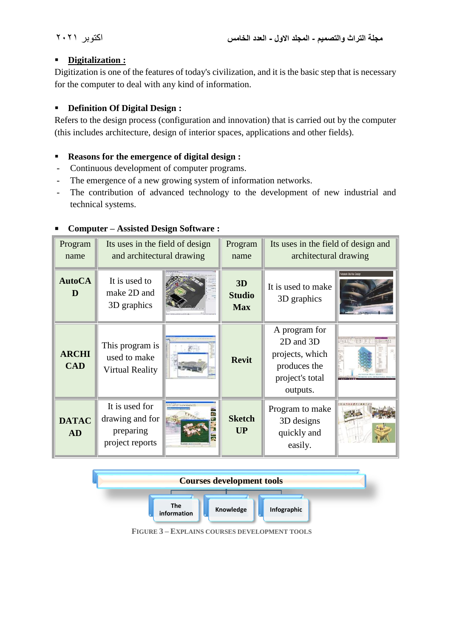#### **Digitalization :**

Digitization is one of the features of today's civilization, and it is the basic step that is necessary for the computer to deal with any kind of information.

### **Definition Of Digital Design :**

Refers to the design process (configuration and innovation) that is carried out by the computer (this includes architecture, design of interior spaces, applications and other fields).

#### **Reasons for the emergence of digital design :**

- Continuous development of computer programs.
- The emergence of a new growing system of information networks.
- The contribution of advanced technology to the development of new industrial and technical systems.

| Program<br>name                  | Its uses in the field of design<br>and architectural drawing      |  | Program<br>name                   | Its uses in the field of design and<br>architectural drawing                                 |                        |
|----------------------------------|-------------------------------------------------------------------|--|-----------------------------------|----------------------------------------------------------------------------------------------|------------------------|
| <b>AutoCA</b><br>D               | It is used to<br>make 2D and<br>3D graphics                       |  | 3D<br><b>Studio</b><br><b>Max</b> | It is used to make<br>3D graphics                                                            | utodesk 3ds Max Design |
| <b>ARCHI</b><br><b>CAD</b>       | This program is<br>used to make<br><b>Virtual Reality</b>         |  | <b>Revit</b>                      | A program for<br>2D and 3D<br>projects, which<br>produces the<br>project's total<br>outputs. |                        |
| <b>DATAC</b><br><b>AD</b>        | It is used for<br>drawing and for<br>preparing<br>project reports |  | <b>Sketch</b><br><b>UP</b>        | Program to make<br>3D designs<br>quickly and<br>easily.                                      |                        |
| <b>Courses development tools</b> |                                                                   |  |                                   |                                                                                              |                        |

#### **Computer – Assisted Design Software :**



**FIGURE 3 – EXPLAINS COURSES DEVELOPMENT TOOLS**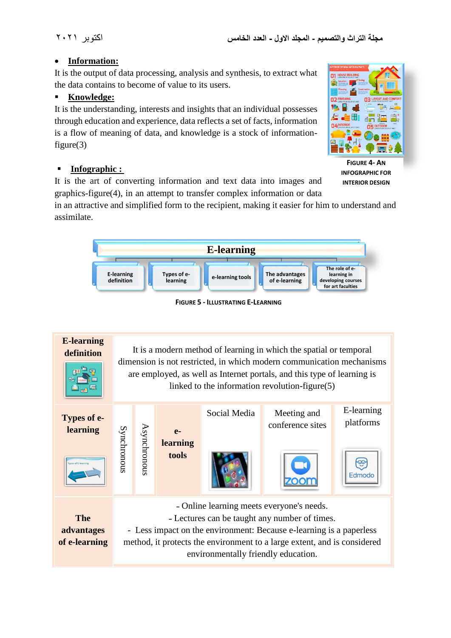#### **Information:**

It is the output of data processing, analysis and synthesis, to extract what the data contains to become of value to its users.

### **Knowledge:**

It is the understanding, interests and insights that an individual possesses through education and experience, data reflects a set of facts, information is a flow of meaning of data, and knowledge is a stock of informationfigure(3)

# **Infographic :**

It is the art of converting information and text data into images and graphics-figure(4), in an attempt to transfer complex information or data

in an attractive and simplified form to the recipient, making it easier for him to understand and assimilate.



**FIGURE 5 - ILLUSTRATING E-LEARNING**





**FIGURE 4- AN INFOGRAPHIC FOR INTERIOR DESIGN**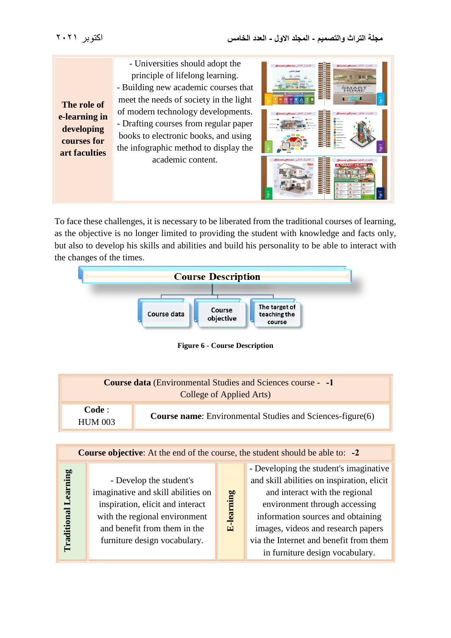- Universities should adopt the principle of lifelong learning. - Building new academic courses that meet the needs of society in the light of modern technology developments. - Drafting courses from regular paper books to electronic books, and using the infographic method to display the academic content. **The role of e-learning in developing courses for art faculties**

| المنزل الذكى Smatt Home<br>الهتزل الخكى<br>$-27.2$<br><b>d</b> SMART BULLIONS In                 | المنزل الذكى Smart Home<br>irestaret all-lre-ores<br><b>SMART</b><br>$H \cap R$<br><b>CONTRACTOR</b><br><b><i>INTERNATIONAL</i></b><br>Page                                                                                                                                                   |
|--------------------------------------------------------------------------------------------------|-----------------------------------------------------------------------------------------------------------------------------------------------------------------------------------------------------------------------------------------------------------------------------------------------|
| المنزل الذكى Smart Home<br><br>$ -$<br><b>B</b> Stori<br>$= 67$<br>$\bigcirc$ has said.<br>$= +$ | المنزل الذكى Smart Home<br>Change of<br><b>0</b> <del>houses</del><br><b>Call Automobile</b><br><b><i><u>Association</u></i></b><br><b>CONTRACTOR</b><br>$\alpha$<br>bringhamme<br><b><i><u>Anthurboard</u> Subscribes</i></b><br><b>CO</b> Americans<br>Page 3<br>Automo-<br><b>Research</b> |
| المنزل الذكى Smart Home<br>15804                                                                 | المنزل الذكى Smart Home<br><b>A SMART HOME</b><br>-<br>ш<br>÷<br>×<br>a<br>EH <sub>1</sub><br>uπ<br>$\bullet$<br>B.<br>沈<br>k<br>2                                                                                                                                                            |

To face these challenges, it is necessary to be liberated from the traditional courses of learning, as the objective is no longer limited to providing the student with knowledge and facts only, but also to develop his skills and abilities and build his personality to be able to interact with the changes of the times.



**Figure 6 - Course Description**

| <b>Course data</b> (Environmental Studies and Sciences course - -1<br>College of Applied Arts) |                                                                  |  |  |
|------------------------------------------------------------------------------------------------|------------------------------------------------------------------|--|--|
| Code :<br><b>HUM 003</b>                                                                       | <b>Course name:</b> Environmental Studies and Sciences-figure(6) |  |  |
|                                                                                                |                                                                  |  |  |

| <b>Course objective:</b> At the end of the course, the student should be able to: -2 |                                    |                   |                                            |  |
|--------------------------------------------------------------------------------------|------------------------------------|-------------------|--------------------------------------------|--|
|                                                                                      |                                    |                   | - Developing the student's imaginative     |  |
|                                                                                      | - Develop the student's            |                   | and skill abilities on inspiration, elicit |  |
| Learning<br>Traditional                                                              | imaginative and skill abilities on | <b>E-learning</b> | and interact with the regional             |  |
|                                                                                      | inspiration, elicit and interact   |                   | environment through accessing              |  |
|                                                                                      | with the regional environment      |                   | information sources and obtaining          |  |
|                                                                                      | and benefit from them in the       |                   | images, videos and research papers         |  |
|                                                                                      | furniture design vocabulary.       |                   | via the Internet and benefit from them     |  |
|                                                                                      |                                    |                   | in furniture design vocabulary.            |  |
|                                                                                      |                                    |                   |                                            |  |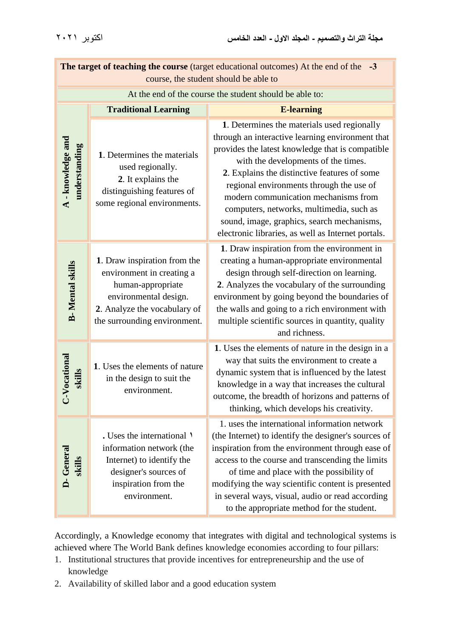| The target of teaching the course (target educational outcomes) At the end of the<br>$-3$<br>course, the student should be able to |                                                                                                                                                                         |                                                                                                                                                                                                                                                                                                                                                                                                                                                                                |  |  |
|------------------------------------------------------------------------------------------------------------------------------------|-------------------------------------------------------------------------------------------------------------------------------------------------------------------------|--------------------------------------------------------------------------------------------------------------------------------------------------------------------------------------------------------------------------------------------------------------------------------------------------------------------------------------------------------------------------------------------------------------------------------------------------------------------------------|--|--|
| At the end of the course the student should be able to:                                                                            |                                                                                                                                                                         |                                                                                                                                                                                                                                                                                                                                                                                                                                                                                |  |  |
|                                                                                                                                    | <b>Traditional Learning</b>                                                                                                                                             | <b>E-learning</b>                                                                                                                                                                                                                                                                                                                                                                                                                                                              |  |  |
| A - knowledge and<br>mderstanding                                                                                                  | 1. Determines the materials<br>used regionally.<br>2. It explains the<br>distinguishing features of<br>some regional environments.                                      | 1. Determines the materials used regionally<br>through an interactive learning environment that<br>provides the latest knowledge that is compatible<br>with the developments of the times.<br>2. Explains the distinctive features of some<br>regional environments through the use of<br>modern communication mechanisms from<br>computers, networks, multimedia, such as<br>sound, image, graphics, search mechanisms,<br>electronic libraries, as well as Internet portals. |  |  |
| <b>B-</b> Mental skills                                                                                                            | 1. Draw inspiration from the<br>environment in creating a<br>human-appropriate<br>environmental design.<br>2. Analyze the vocabulary of<br>the surrounding environment. | 1. Draw inspiration from the environment in<br>creating a human-appropriate environmental<br>design through self-direction on learning.<br>2. Analyzes the vocabulary of the surrounding<br>environment by going beyond the boundaries of<br>the walls and going to a rich environment with<br>multiple scientific sources in quantity, quality<br>and richness.                                                                                                               |  |  |
| V-Vocational<br>skills                                                                                                             | 1. Uses the elements of nature<br>in the design to suit the<br>environment.                                                                                             | 1. Uses the elements of nature in the design in a<br>way that suits the environment to create a<br>dynamic system that is influenced by the latest<br>knowledge in a way that increases the cultural<br>outcome, the breadth of horizons and patterns of<br>thinking, which develops his creativity.                                                                                                                                                                           |  |  |
| D-General<br>skills                                                                                                                | . Uses the international 1<br>information network (the<br>Internet) to identify the<br>designer's sources of<br>inspiration from the<br>environment.                    | 1. uses the international information network<br>(the Internet) to identify the designer's sources of<br>inspiration from the environment through ease of<br>access to the course and transcending the limits<br>of time and place with the possibility of<br>modifying the way scientific content is presented<br>in several ways, visual, audio or read according<br>to the appropriate method for the student.                                                              |  |  |

Accordingly, a Knowledge economy that integrates with digital and technological systems is achieved where The World Bank defines knowledge economies according to four pillars:

- 1. Institutional structures that provide incentives for entrepreneurship and the use of knowledge
- 2. Availability of skilled labor and a good education system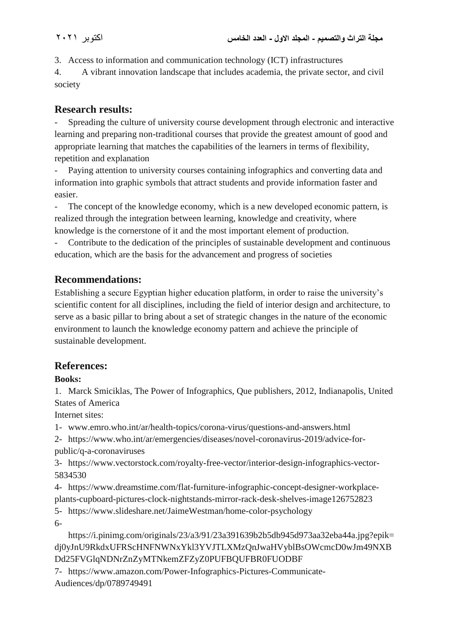3. Access to information and communication technology (ICT) infrastructures

4. A vibrant innovation landscape that includes academia, the private sector, and civil society

# **Research results:**

- Spreading the culture of university course development through electronic and interactive learning and preparing non-traditional courses that provide the greatest amount of good and appropriate learning that matches the capabilities of the learners in terms of flexibility, repetition and explanation

Paying attention to university courses containing infographics and converting data and information into graphic symbols that attract students and provide information faster and easier.

- The concept of the knowledge economy, which is a new developed economic pattern, is realized through the integration between learning, knowledge and creativity, where knowledge is the cornerstone of it and the most important element of production.

- Contribute to the dedication of the principles of sustainable development and continuous education, which are the basis for the advancement and progress of societies

# **Recommendations:**

Establishing a secure Egyptian higher education platform, in order to raise the university's scientific content for all disciplines, including the field of interior design and architecture, to serve as a basic pillar to bring about a set of strategic changes in the nature of the economic environment to launch the knowledge economy pattern and achieve the principle of sustainable development.

# **References:**

## **Books:**

1. Marck Smiciklas, The Power of Infographics, Que publishers, 2012, Indianapolis, United States of America

Internet sites:

1- www.emro.who.int/ar/health-topics/corona-virus/questions-and-answers.html

2- https://www.who.int/ar/emergencies/diseases/novel-coronavirus-2019/advice-forpublic/q-a-coronaviruses

3- https://www.vectorstock.com/royalty-free-vector/interior-design-infographics-vector-5834530

4- https://www.dreamstime.com/flat-furniture-infographic-concept-designer-workplaceplants-cupboard-pictures-clock-nightstands-mirror-rack-desk-shelves-image126752823

5- https://www.slideshare.net/JaimeWestman/home-color-psychology

6-

https://i.pinimg.com/originals/23/a3/91/23a391639b2b5db945d973aa32eba44a.jpg?epik= dj0yJnU9RkdxUFRScHNFNWNxYkl3YVJTLXMzQnJwaHVyblBsOWcmcD0wJm49NXB Dd25FVGlqNDNrZnZyMTNkemZFZyZ0PUFBQUFBR0FUODBF

7- https://www.amazon.com/Power-Infographics-Pictures-Communicate-Audiences/dp/0789749491